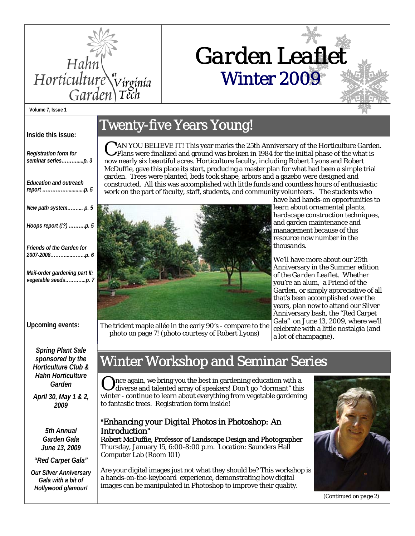

# *Garden Leaflet*  a*rden Leafle*<br>Winter 2009

**Volume 7, Issue 1**

## Twenty-five Years Young!

C AN YOU BELIEVE IT! This year marks the 25th Anniversary of the Horticulture Garden. Plans were finalized and ground was broken in 1984 for the initial phase of the what is now nearly six beautiful acres. Horticulture faculty, including Robert Lyons and Robert McDuffie, gave this place its start, producing a master plan for what had been a simple trial garden. Trees were planted, beds took shape, arbors and a gazebo were designed and constructed. All this was accomplished with little funds and countless hours of enthusiastic work on the part of faculty, staff, students, and community volunteers. The students who



The trident maple allée in the early 90's - compare to the photo on page 7! (photo courtesy of Robert Lyons)

have had hands-on opportunities to learn about ornamental plants, hardscape construction techniques, and garden maintenance and management because of this resource now number in the *thousands*.

We'll have more about our 25th Anniversary in the Summer edition of the *Garden Leaflet.* Whether you're an alum, a Friend of the Garden, or simply appreciative of all that's been accomplished over the years, plan now to attend our Silver Anniversary bash, the "Red Carpet Gala" on June 13, 2009, where we'll celebrate with a little nostalgia (and a lot of champagne).

## Winter Workshop and Seminar Series

Ince again, we bring you the best in gardening education with a diverse and talented array of speakers! Don't go "dormant" this winter - continue to learn about everything from vegetable gardening to fantastic trees. Registration form inside!

## "*Enhancing your Digital Photos in Photoshop: An Introduction"*

Robert McDuffie, Professor of Landscape Design and Photographer Thursday, January 15, 6:00-8:00 p.m. Location: Saunders Hall Computer Lab (Room 101)

Are your digital images just not what they should be? This workshop is a hands-on-the-keyboard experience, demonstrating how digital images can be manipulated in Photoshop to improve their quality.



*(Continued on page 2)* 

| Inside this issue:                                   |
|------------------------------------------------------|
| <b>Registration form for</b><br>seminar seriesp. 3   |
| <b>Education and outreach</b>                        |
| New path system p. 5                                 |
| Hoops report (!?) p. 5                               |
| Friends of the Garden for<br>2007-2008p. 6           |
| Mail-order gardening part II:<br>vegetable seedsp. 7 |
|                                                      |

## **Upcoming events:**

*Spring Plant Sale sponsored by the Horticulture Club & Hahn Horticulture Garden* 

*April 30, May 1 & 2, 2009* 

> *5th Annual Garden Gala June 13, 2009*

*"Red Carpet Gala"* 

*Our Silver Anniversary Gala with a bit of Hollywood glamour!*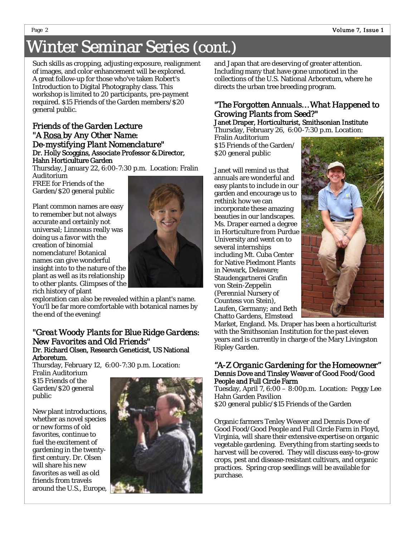# Winter Seminar Series *(cont.)*<br>Such skills as cropping, adjusting exposure, realignment and Jap

of images, and color enhancement will be explored. A great follow-up for those who've taken Robert's Introduction to Digital Photography class. This workshop is limited to 20 participants, pre-payment required. \$15 Friends of the Garden members/\$20 general public.

## *Friends of the Garden Lecture "A* Rosa *by Any Other Name: De-mystifying Plant Nomenclature"*  Dr. Holly Scoggins, Associate Professor & Director, Hahn Horticulture Garden

Thursday, January 22, 6:00-7:30 p.m. Location: Fralin Auditorium

FREE for Friends of the Garden/\$20 general public

Plant common names are easy to remember but not always accurate and certainly not universal; Linneaus really was doing us a favor with the creation of binomial nomenclature! Botanical names can give wonderful insight into to the nature of the plant as well as its relationship to other plants. Glimpses of the rich history of plant



exploration can also be revealed within a plant's name. You'll be far more comfortable with botanical names by the end of the evening!

## *"Great Woody Plants for Blue Ridge Gardens: New Favorites and Old Friends"*  Dr. Richard Olsen, Research Geneticist, US National Arboretum.

Thursday, February 12, 6:00-7:30 p.m. Location:

Fralin Auditorium \$15 Friends of the Garden/\$20 general public

New plant introductions, whether as novel species or new forms of old favorites, continue to fuel the excitement of gardening in the twentyfirst century. Dr. Olsen will share his new favorites as well as old friends from travels around the U.S., Europe,



and Japan that are deserving of greater attention. Including many that have gone unnoticed in the collections of the U.S. National Arboretum, where he directs the urban tree breeding program.

## *"The Forgotten Annuals… What Happened to Growing Plants from Seed?"*

Janet Draper, Horticulturist, Smithsonian Institute Thursday, February 26, 6:00-7:30 p.m. Location:

Fralin Auditorium \$15 Friends of the Garden/ \$20 general public

Janet will remind us that annuals are wonderful and easy plants to include in our garden and encourage us to rethink how we can incorporate these amazing beauties in our landscapes. Ms. Draper earned a degree in Horticulture from Purdue University and went on to several internships including Mt. Cuba Center for Native Piedmont Plants in Newark, Delaware; Staudengartnerei Grafin von Stein-Zeppelin (Perennial Nursery of Countess von Stein), Laufen, Germany; and Beth Chatto Gardens, Elmstead



Market, England. Ms. Draper has been a horticulturist with the Smithsonian Institution for the past eleven years and is currently in charge of the Mary Livingston Ripley Garden.

## *"A-Z Organic Gardening for the Homeowner"*  Dennis Dove and Tinsley Weaver of Good Food/Good People and Full Circle Farm

Tuesday, April 7, 6:00 – 8:00p.m. Location: Peggy Lee Hahn Garden Pavilion

\$20 general public/\$15 Friends of the Garden

Organic farmers Tenley Weaver and Dennis Dove of Good Food/Good People and Full Circle Farm in Floyd, Virginia, will share their extensive expertise on organic vegetable gardening. Everything from starting seeds to harvest will be covered. They will discuss easy-to-grow crops, pest and disease-resistant cultivars, and organic practices. Spring crop seedlings will be available for purchase.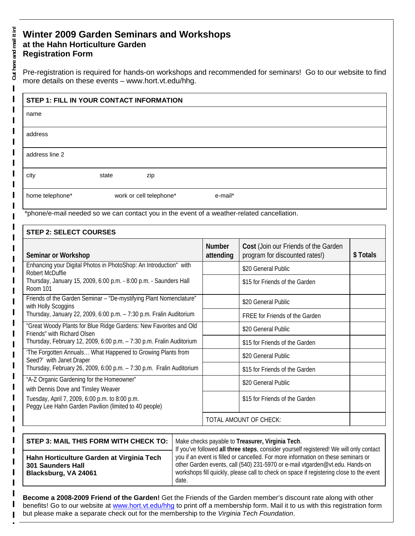## **Winter 2009 Garden Seminars and Workshops at the Hahn Horticulture Garden Registration Form**

**Cut here and mail it in!** Cut here and mail it in!

 $\blacksquare$ 

П П Pre-registration is required for hands-on workshops and recommended for seminars! Go to our website to find more details on these events – www.hort.vt.edu/hhg.

| STEP 1: FILL IN YOUR CONTACT INFORMATION |       |                         |         |  |  |
|------------------------------------------|-------|-------------------------|---------|--|--|
| name                                     |       |                         |         |  |  |
| address                                  |       |                         |         |  |  |
| address line 2                           |       |                         |         |  |  |
| city                                     | state | zip                     |         |  |  |
| home telephone*                          |       | work or cell telephone* | e-mail* |  |  |

\*phone/e-mail needed so we can contact you in the event of a weather-related cancellation.

| Seminar or Workshop                                                                                     | <b>Number</b><br>attending | Cost (Join our Friends of the Garden<br>program for discounted rates!) | \$ Totals |
|---------------------------------------------------------------------------------------------------------|----------------------------|------------------------------------------------------------------------|-----------|
| Enhancing your Digital Photos in PhotoShop: An Introduction" with<br>Robert McDuffie                    |                            | \$20 General Public                                                    |           |
| Thursday, January 15, 2009, 6:00 p.m. - 8:00 p.m. - Saunders Hall<br>Room 101                           |                            | \$15 for Friends of the Garden                                         |           |
| Friends of the Garden Seminar - "De-mystifying Plant Nomenclature"<br>with Holly Scoggins               |                            | \$20 General Public                                                    |           |
| Thursday, January 22, 2009, 6:00 p.m. - 7:30 p.m. Fralin Auditorium                                     |                            | <b>FREE</b> for Friends of the Garden                                  |           |
| "Great Woody Plants for Blue Ridge Gardens: New Favorites and Old<br>Friends" with Richard Olsen        |                            | \$20 General Public                                                    |           |
| Thursday, February 12, 2009, 6:00 p.m. - 7:30 p.m. Fralin Auditorium                                    |                            | \$15 for Friends of the Garden                                         |           |
| 'The Forgotten Annuals What Happened to Growing Plants from<br>Seed?' with Janet Draper                 |                            | \$20 General Public                                                    |           |
| Thursday, February 26, 2009, 6:00 p.m. - 7:30 p.m. Fralin Auditorium                                    |                            | \$15 for Friends of the Garden                                         |           |
| "A-Z Organic Gardening for the Homeowner"<br>with Dennis Dove and Tinsley Weaver                        |                            | \$20 General Public                                                    |           |
| Tuesday, April 7, 2009, 6:00 p.m. to 8:00 p.m.<br>Peggy Lee Hahn Garden Pavilion (limited to 40 people) |                            | \$15 for Friends of the Garden                                         |           |
|                                                                                                         |                            | <b>TOTAL AMOUNT OF CHECK:</b>                                          |           |

| STEP 3: MAIL THIS FORM WITH CHECK TO:   Make checks payable to Treasurer, Virginia Tech. | If you've followed all three steps, consider yourself registered! We will only contact                                                                                                                                                                                |
|------------------------------------------------------------------------------------------|-----------------------------------------------------------------------------------------------------------------------------------------------------------------------------------------------------------------------------------------------------------------------|
| Hahn Horticulture Garden at Virginia Tech<br>301 Saunders Hall<br>Blacksburg, VA 24061   | you if an event is filled or cancelled. For more information on these seminars or<br>other Garden events, call (540) 231-5970 or e-mail vtgarden@vt.edu. Hands-on<br>workshops fill quickly, please call to check on space if registering close to the event<br>date. |

**Become a 2008-2009 Friend of the Garden!** Get the Friends of the Garden member's discount rate along with other benefits! Go to our website at www.hort.vt.edu/hhg to print off a membership form. Mail it to us with this registration form but please make a separate check out for the membership to the *Virginia Tech Foundation*.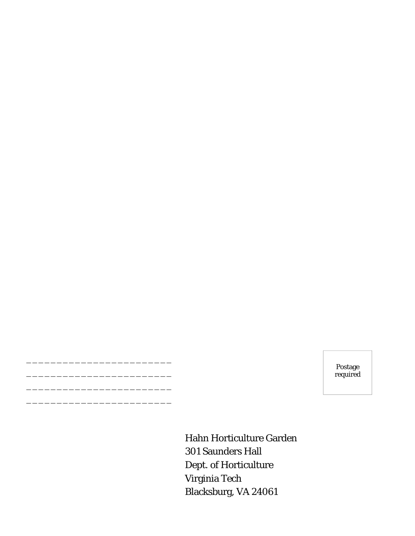Postage required

Hahn Horticulture Garden 301 Saunders Hall Dept. of Horticulture Virginia Tech Blacksburg, VA 24061

\_\_\_\_\_\_\_\_\_\_\_\_\_\_\_\_\_\_\_\_\_\_\_\_ \_\_\_\_\_\_\_\_\_\_\_\_\_\_\_\_\_\_\_\_\_\_\_\_ \_\_\_\_\_\_\_\_\_\_\_\_\_\_\_\_\_\_\_\_\_\_\_\_ \_\_\_\_\_\_\_\_\_\_\_\_\_\_\_\_\_\_\_\_\_\_\_\_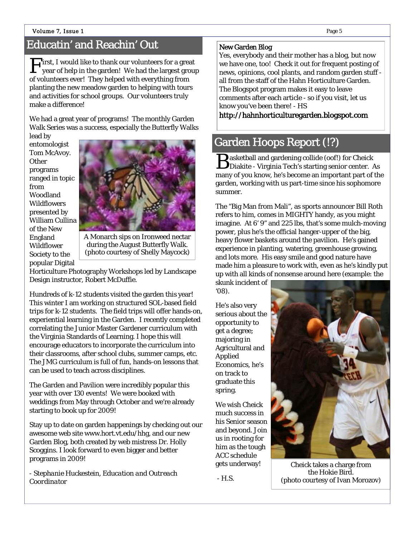#### Volume 7, Issue 1

First, I would like to thank our volunteers for a great year of help in the garden! We had the largest group of volunteers ever! They helped with everything from planting the new meadow garden to helping with tours and activities for school groups. Our volunteers truly make a difference!

We had a great year of programs! The monthly Garden Walk Series was a success, especially the Butterfly Walks

lead by entomologist Tom McAvoy. **Other** programs ranged in topic from Woodland **Wildflowers** presented by William Cullina of the New England Wildflower Society to the popular Digital

![](_page_4_Picture_5.jpeg)

A Monarch sips on Ironweed nectar during the August Butterfly Walk. (photo courtesy of Shelly Maycock)

Horticulture Photography Workshops led by Landscape Design instructor, Robert McDuffie.

Hundreds of k-12 students visited the garden this year! This winter I am working on structured SOL-based field trips for k-12 students. The field trips will offer hands-on, experiential learning in the Garden. I recently completed correlating the Junior Master Gardener curriculum with the Virginia Standards of Learning. I hope this will encourage educators to incorporate the curriculum into their classrooms, after school clubs, summer camps, etc. The JMG curriculum is full of fun, hands-on lessons that can be used to teach across disciplines.

The Garden and Pavilion were incredibly popular this year with over 130 events! We were booked with weddings from May through October and we're already starting to book up for 2009!

Stay up to date on garden happenings by checking out our awesome web site www.hort.vt.edu/hhg, and our new Garden Blog, both created by web mistress Dr. Holly Scoggins. I look forward to even bigger and better programs in 2009!

*- Stephanie Huckestein, Education and Outreach Coordinator* 

## New Garden Blog

Yes, everybody and their mother has a blog, but now we have one, too! Check it out for frequent posting of news, opinions, cool plants, and random garden stuff all from the staff of the Hahn Horticulture Garden. The Blogspot program makes it easy to leave comments after each article - so if you visit, let us know you've been there! *- HS* 

http://hahnhorticulturegarden.blogspot.com

## Garden Hoops Report (!?)

B asketball and gardening collide (oof!) for Cheick Diakite - Virginia Tech's starting senior center. As many of you know, he's become an important part of the garden, working with us part-time since his sophomore summer.

The "Big Man from Mali", as sports announcer Bill Roth refers to him, comes in MIGHTY handy, as you might imagine. At 6' 9" and 225 lbs, that's some mulch-moving power, plus he's the official hanger-upper of the big, heavy flower baskets around the pavilion. He's gained experience in planting, watering, greenhouse growing, and lots more. His easy smile and good nature have made him a pleasure to work with, even as he's kindly put up with all kinds of nonsense around here (example: the

skunk incident of '08).

He's also very serious about the opportunity to get a degree; majoring in Agricultural and Applied Economics, he's on track to graduate this spring.

We wish Cheick much success in his Senior season and beyond. Join us in rooting for him as the tough ACC schedule gets underway!

*- H.S*.

![](_page_4_Picture_22.jpeg)

Cheick takes a charge from the Hokie Bird. (photo courtesy of Ivan Morozov)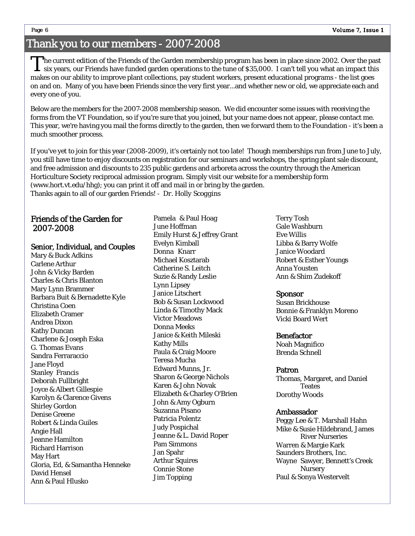## Thank you to our members - 2007-2008

The current edition of the Friends of the Garden membership program has been in place since 2002. Over the past  $\sf L\;$  six years, our Friends have funded garden operations to the tune of \$35,000. I can't tell you what an impact this makes on our ability to improve plant collections, pay student workers, present educational programs - the list goes on and on. Many of you have been Friends since the very first year...and whether new or old, we appreciate each and every one of you.

Below are the members for the 2007-2008 membership season. We did encounter some issues with receiving the forms from the VT Foundation, so if you're sure that you joined, but your name does not appear, please contact me. This year, we're having you mail the forms directly to the garden, then we forward them to the Foundation - it's been a much smoother process.

If you've yet to join for this year (2008-2009), it's certainly not too late! Though memberships run from June to July, you still have time to enjoy discounts on registration for our seminars and workshops, the spring plant sale discount, and free admission and discounts to 235 public gardens and arboreta across the country through the American Horticulture Society reciprocal admission program. Simply visit our website for a membership form (www.hort.vt.edu/hhg); you can print it off and mail in or bring by the garden. Thanks again to all of our garden Friends! *- Dr. Holly Scoggins*

## Friends of the Garden for 2007-2008

## Senior, Individual, and Couples

Mary & Buck Adkins Carlene Arthur John & Vicky Barden Charles & Chris Blanton Mary Lynn Brammer Barbara Buit & Bernadette Kyle Christina Coen Elizabeth Cramer Andrea Dixon Kathy Duncan Charlene & Joseph Eska G. Thomas Evans Sandra Ferraraccio Jane Floyd Stanley Francis Deborah Fullbright Joyce & Albert Gillespie Karolyn & Clarence Givens Shirley Gordon Denise Greene Robert & Linda Guiles Angie Hall Jeanne Hamilton Richard Harrison May Hart Gloria, Ed, & Samantha Henneke David Hensel Ann & Paul Hlusko

Pamela & Paul Hoag June Hoffman Emily Hurst & Jeffrey Grant Evelyn Kimball Donna Knarr Michael Kosztarab Catherine S. Leitch Suzie & Randy Leslie Lynn Lipsey Janice Litschert Bob & Susan Lockwood Linda & Timothy Mack Victor Meadows Donna Meeks Janice & Keith Mileski Kathy Mills Paula & Craig Moore Teresa Mucha Edward Munns, Jr. Sharon & George Nichols Karen & John Novak Elizabeth & Charley O'Brien John & Amy Ogburn Suzanna Pisano Patricia Polentz Judy Pospichal Jeanne & L. David Roper Pam Simmons Jan Spahr Arthur Squires Connie Stone Jim Topping

Terry Tosh Gale Washburn Eve Willis Libba & Barry Wolfe Janice Woodard Robert & Esther Youngs Anna Yousten Ann & Shim Zudekoff

#### Sponsor

Susan Brickhouse Bonnie & Franklyn Moreno Vicki Board Wert

## Benefactor

Noah Magnifico Brenda Schnell

## Patron

Thomas, Margaret, and Daniel **Teates** Dorothy Woods

#### Ambassador

Peggy Lee & T. Marshall Hahn Mike & Susie Hildebrand, James River Nurseries Warren & Margie Kark Saunders Brothers, Inc. Wayne Sawyer, Bennett's Creek **Nursery** Paul & Sonya Westervelt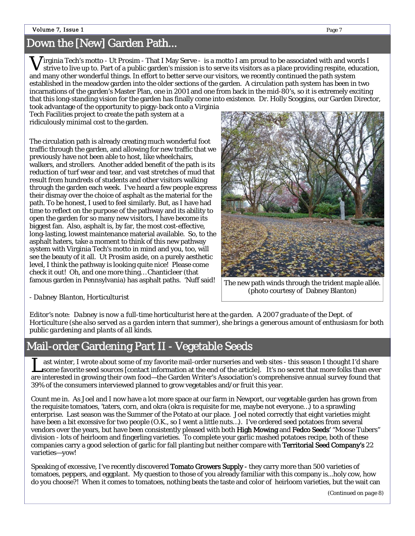## Down the [New] Garden Path...

V irginia Tech's motto - *Ut Prosim* - That I May Serve - is a motto I am proud to be associated with and words I strive to live up to. Part of a public garden's mission is to serve its visitors as a place providing respite, education, and many other wonderful things. In effort to better serve our visitors, we recently continued the path system established in the meadow garden into the older sections of the garden. A circulation path system has been in two incarnations of the garden's Master Plan, one in 2001 and one from back in the mid-80's, so it is extremely exciting that this long-standing vision for the garden has finally come into existence. Dr. Holly Scoggins, our Garden Director, took advantage of the opportunity to piggy-back onto a Virginia

Tech Facilities project to create the path system at a ridiculously minimal cost to the garden.

The circulation path is already creating much wonderful foot traffic through the garden, and allowing for new traffic that we previously have not been able to host, like wheelchairs, walkers, and strollers. Another added benefit of the path is its reduction of turf wear and tear, and vast stretches of mud that result from hundreds of students and other visitors walking through the garden each week. I've heard a few people express their dismay over the choice of asphalt as the material for the path. To be honest, I used to feel similarly. But, as I have had time to reflect on the purpose of the pathway and its ability to open the garden for so many new visitors, I have become its biggest fan. Also, asphalt is, by far, the most cost-effective, long-lasting, lowest maintenance material available. So, to the asphalt haters, take a moment to think of this new pathway system with Virginia Tech's motto in mind and you, too, will see the beauty of it all. *Ut Prosim* aside, on a purely aesthetic level, I think the pathway is looking quite nice! Please come check it out! Oh, and one more thing… Chanticleer (that famous garden in Pennsylvania) has asphalt paths. 'Nuff said!

![](_page_6_Picture_5.jpeg)

![](_page_6_Picture_6.jpeg)

The new path winds through the trident maple allée. (photo courtesy of Dabney Blanton)

*Editor's note: Dabney is now a full-time horticulturist here at the garden. A 2007 graduate of the Dept. of Horticulture (she also served as a garden intern that summer), she brings a generous amount of enthusiasm for both public gardening and plants of all kinds.* 

## Mail-order Gardening Part II - Vegetable Seeds

Last winter, I wrote about some of my favorite mail-order nurseries and web sites - this season I thought I'd share<br>I some favorite seed sources [contact information at the end of the article]. It's no secret that more fol are interested in growing their own food—the Garden Writer's Association's comprehensive annual survey found that 39% of the consumers interviewed planned to grow vegetables and/or fruit this year.

Count me in. As Joel and I now have a lot more space at our farm in Newport, our vegetable garden has grown from the requisite tomatoes, 'taters, corn, and okra (okra is requisite for me, maybe not everyone…) to a sprawling enterprise. Last season was the Summer of the Potato at our place. Joel noted correctly that eight varieties *might* have been a bit excessive for two people (O.K., so I went a little nuts...). I've ordered seed potatoes from several vendors over the years, but have been consistently pleased with both High Mowing and Fedco Seeds' "Moose Tubers" division - lots of heirloom and fingerling varieties. To complete your garlic mashed potatoes recipe, both of these companies carry a good selection of garlic for fall planting but neither compare with Territorial Seed Company's 22 varieties—yow!

Speaking of excessive, I've recently discovered Tomato Growers Supply - they carry more than 500 varieties of tomatoes, peppers, and eggplant. My question to those of you already familiar with this company is...holy cow, how do you choose?! When it comes to tomatoes, nothing beats the taste and color of heirloom varieties, but the wait can